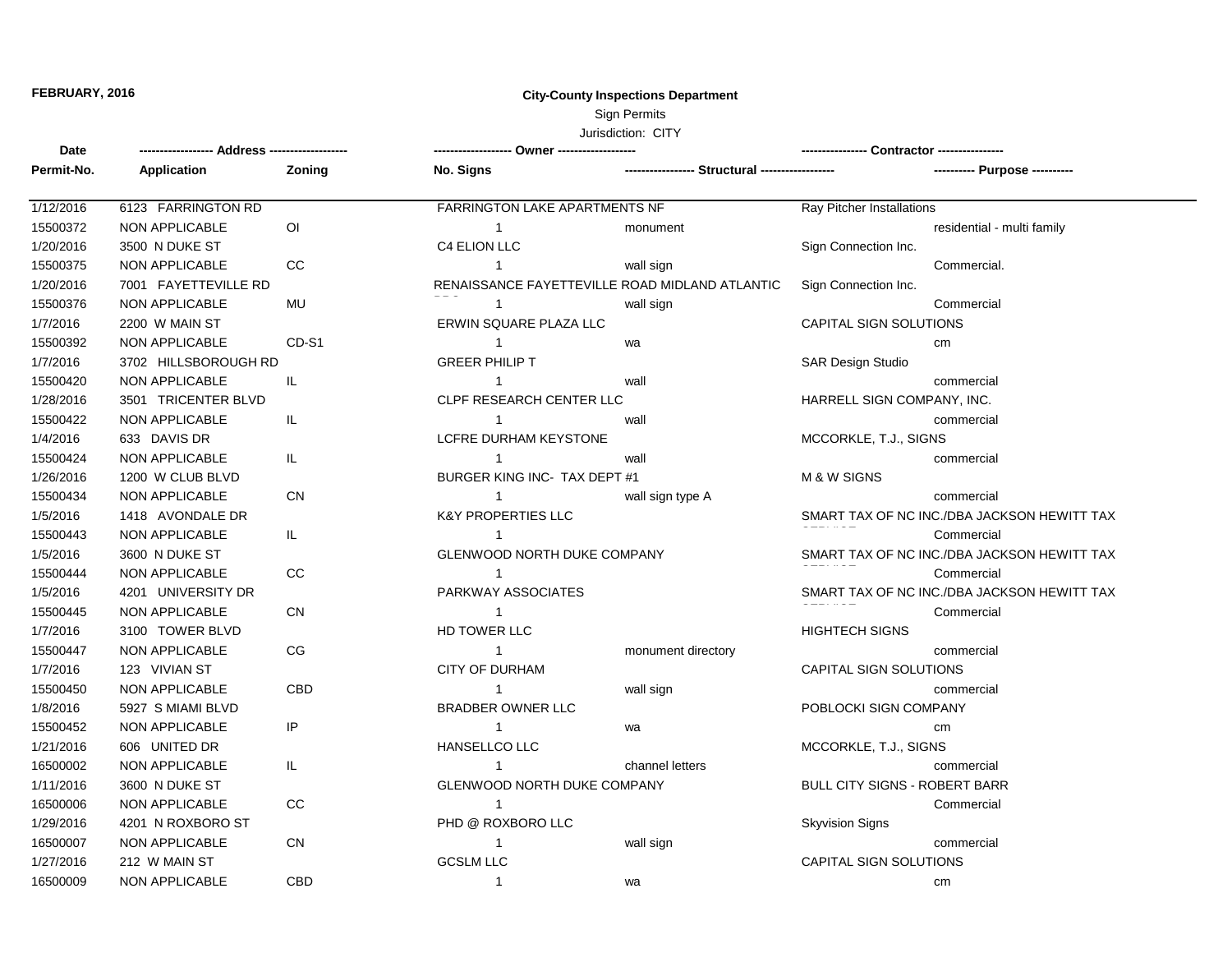## **FEBRUARY, 2016 City-County Inspections Department** Sign Permits

## Jurisdiction: CITY

| Date       |                       |                |                                 |                                                |                                             |  |
|------------|-----------------------|----------------|---------------------------------|------------------------------------------------|---------------------------------------------|--|
| Permit-No. | Application           | Zoning         | No. Signs                       | ---------------- Structural -----------------  | ---------- Purpose ----------               |  |
| 1/12/2016  | 6123 FARRINGTON RD    |                | FARRINGTON LAKE APARTMENTS NF   |                                                | Ray Pitcher Installations                   |  |
| 15500372   | <b>NON APPLICABLE</b> | $\overline{O}$ | $\mathbf{1}$                    | monument                                       | residential - multi family                  |  |
| 1/20/2016  | 3500 N DUKE ST        |                | C4 ELION LLC                    |                                                | Sign Connection Inc.                        |  |
| 15500375   | <b>NON APPLICABLE</b> | CC             | $\mathbf{1}$                    | wall sign                                      | Commercial.                                 |  |
| 1/20/2016  | 7001 FAYETTEVILLE RD  |                |                                 | RENAISSANCE FAYETTEVILLE ROAD MIDLAND ATLANTIC | Sign Connection Inc.                        |  |
| 15500376   | <b>NON APPLICABLE</b> | <b>MU</b>      | $\mathbf{1}$                    | wall sign                                      | Commercial                                  |  |
| 1/7/2016   | 2200 W MAIN ST        |                | ERWIN SQUARE PLAZA LLC          |                                                | CAPITAL SIGN SOLUTIONS                      |  |
| 15500392   | <b>NON APPLICABLE</b> | CD-S1          | $\mathbf{1}$                    | wa                                             | cm                                          |  |
| 1/7/2016   | 3702 HILLSBOROUGH RD  |                | <b>GREER PHILIP T</b>           |                                                | <b>SAR Design Studio</b>                    |  |
| 15500420   | <b>NON APPLICABLE</b> | IL             | $\mathbf{1}$                    | wall                                           | commercial                                  |  |
| 1/28/2016  | 3501 TRICENTER BLVD   |                | <b>CLPF RESEARCH CENTER LLC</b> |                                                | HARRELL SIGN COMPANY, INC.                  |  |
| 15500422   | <b>NON APPLICABLE</b> | IL.            | $\mathbf{1}$                    | wall                                           | commercial                                  |  |
| 1/4/2016   | 633 DAVIS DR          |                | <b>LCFRE DURHAM KEYSTONE</b>    |                                                | MCCORKLE, T.J., SIGNS                       |  |
| 15500424   | NON APPLICABLE        | IL.            | 1                               | wall                                           | commercial                                  |  |
| 1/26/2016  | 1200 W CLUB BLVD      |                | BURGER KING INC- TAX DEPT #1    |                                                | <b>M &amp; W SIGNS</b>                      |  |
| 15500434   | <b>NON APPLICABLE</b> | CN             | $\mathbf 1$                     | wall sign type A                               | commercial                                  |  |
| 1/5/2016   | 1418 AVONDALE DR      |                | <b>K&amp;Y PROPERTIES LLC</b>   |                                                | SMART TAX OF NC INC./DBA JACKSON HEWITT TAX |  |
| 15500443   | NON APPLICABLE        | IL.            | $\mathbf{1}$                    |                                                | Commercial                                  |  |
| 1/5/2016   | 3600 N DUKE ST        |                | GLENWOOD NORTH DUKE COMPANY     |                                                | SMART TAX OF NC INC./DBA JACKSON HEWITT TAX |  |
| 15500444   | NON APPLICABLE        | CC             | $\mathbf{1}$                    |                                                | Commercial                                  |  |
| 1/5/2016   | 4201 UNIVERSITY DR    |                | PARKWAY ASSOCIATES              |                                                | SMART TAX OF NC INC./DBA JACKSON HEWITT TAX |  |
| 15500445   | <b>NON APPLICABLE</b> | СN             | $\mathbf{1}$                    |                                                | Commercial                                  |  |
| 1/7/2016   | 3100 TOWER BLVD       |                | HD TOWER LLC                    |                                                | <b>HIGHTECH SIGNS</b>                       |  |
| 15500447   | <b>NON APPLICABLE</b> | CG             | $\mathbf{1}$                    | monument directory                             | commercial                                  |  |
| 1/7/2016   | 123 VIVIAN ST         |                | CITY OF DURHAM                  |                                                | CAPITAL SIGN SOLUTIONS                      |  |
| 15500450   | <b>NON APPLICABLE</b> | <b>CBD</b>     | $\mathbf{1}$                    | wall sign                                      | commercial                                  |  |
| 1/8/2016   | 5927 S MIAMI BLVD     |                | BRADBER OWNER LLC               |                                                | POBLOCKI SIGN COMPANY                       |  |
| 15500452   | <b>NON APPLICABLE</b> | IP             | $\mathbf{1}$                    | wa                                             | cm                                          |  |
| 1/21/2016  | 606 UNITED DR         |                | HANSELLCO LLC                   |                                                | MCCORKLE, T.J., SIGNS                       |  |
| 16500002   | NON APPLICABLE        | IL.            | 1                               | channel letters                                | commercial                                  |  |
| 1/11/2016  | 3600 N DUKE ST        |                | GLENWOOD NORTH DUKE COMPANY     |                                                | BULL CITY SIGNS - ROBERT BARR               |  |
| 16500006   | <b>NON APPLICABLE</b> | CC             | $\mathbf{1}$                    |                                                | Commercial                                  |  |
| 1/29/2016  | 4201 N ROXBORO ST     |                | PHD @ ROXBORO LLC               |                                                | <b>Skyvision Signs</b>                      |  |
| 16500007   | NON APPLICABLE        | <b>CN</b>      | $\mathbf{1}$                    | wall sign                                      | commercial                                  |  |
| 1/27/2016  | 212 W MAIN ST         |                | <b>GCSLM LLC</b>                |                                                | CAPITAL SIGN SOLUTIONS                      |  |
| 16500009   | <b>NON APPLICABLE</b> | CBD            | $\mathbf{1}$                    | wa                                             | cm                                          |  |